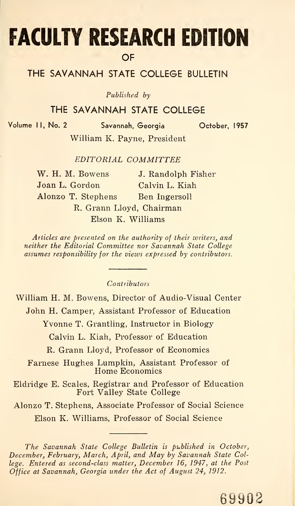# FACULTY RESEARCH EDITION **OF**

### THE SAVANNAH STATE COLLEGE BULLETIN

Published by

#### THE SAVANNAH STATE COLLEGE

Volume II, No. 2 Savannah, Georgia October, 1957

William K. Payne, President

EDITORIAL COMMITTEE

| W. H. M. Bowens          | J. Randolph Fisher |
|--------------------------|--------------------|
| Joan L. Gordon           | Calvin L. Kiah     |
| Alonzo T. Stephens       | Ben Ingersoll      |
| R. Grann Lloyd, Chairman |                    |
| Elson K. Williams        |                    |

Articles are presented on the authority of their writers, and neither the Editorial Committee nor Savannah State College assumes responsibility for the views expressed by contributors.

Contributors

William H. M. Bowens, Director of Audio-Visual Center

John H. Camper, Assistant Professor of Education

Yvonne T. Grantling, Instructor in Biology

Calvin L. Kiah, Professor of Education

R. Grann Lloyd, Professor of Economics

Farnese Hughes Lumpkin, Assistant Professor of Home Economics

Eldridge E. Scales, Registrar and Professor of Education Fort Valley State College

Alonzo T. Stephens, Associate Professor of Social Science Fort Valley State College<br>zo T. Stephens, Associate Professor of Social Science<br>Elson K. Williams, Professor of Social Science

The Savannah State College Bulletin is published in October, December, February, March, April, and May by Savannah State College. Entered as second-class matter, December 16, 1947, at the Post Office at Savannah, Georgia under the Act of August 24, 1912.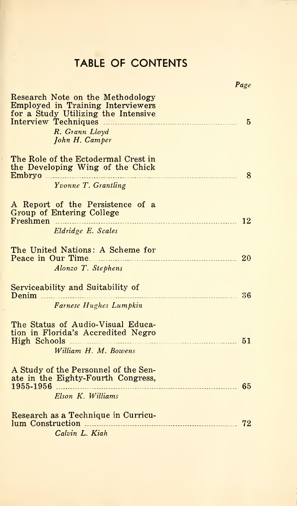## TABLE OF CONTENTS

|                                                                                                                                                  | Page           |
|--------------------------------------------------------------------------------------------------------------------------------------------------|----------------|
| Research Note on the Methodology<br>Employed in Training Interviewers<br>for a Study Utilizing the Intensive<br>R. Grann Lloyd<br>John H. Camper | $\overline{5}$ |
| The Role of the Ectodermal Crest in<br>the Developing Wing of the Chick<br>Yvonne T. Grantling                                                   | 8              |
| A Report of the Persistence of a<br>Group of Entering College<br>Freshmen<br>Eldridge E. Scales                                                  |                |
| The United Nations: A Scheme for<br>Peace in Our Time.<br>20<br>Alonzo T. Stephens                                                               |                |
| Serviceability and Suitability of<br>36<br>Denim<br>Farnese Hughes Lumpkin                                                                       |                |
| The Status of Audio-Visual Educa-<br>tion in Florida's Accredited Negro<br>William H. M. Bowens                                                  |                |
| A Study of the Personnel of the Sen-<br>ate in the Eighty-Fourth Congress,<br>Elson K. Williams                                                  |                |
| Research as a Technique in Curricu-<br>Calvin L. Kiah                                                                                            | 72             |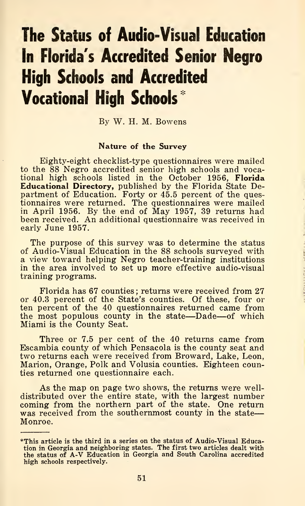# The Status of Audio-Visual Education In Florida's Accredited Senior Negro High Schools and Accredited Vocational High Schools "^

By W. H. M. Bowens

#### Nature of the Survey

Eighty-eight checklist-type questionnaires were mailed to the 88 Negro accredited senior high schools and vocational high schools listed in the October 1956, Florida Educational Directory, published by the Florida State Department of Education. Forty or 45.5 percent of the questionnaires were returned. The questionnaires were mailed in April 1956. By the end of May 1957, 39 returns had been received. An additional questionnaire was received in early June 1957.

The purpose of this survey was to determine the status of Audio-Visual Education in the 88 schools surveyed with a view toward helping Negro teacher-training institutions in the area involved to set up more effective audio-visual training programs.

Florida has 67 counties ; returns were received from 27 or 40.3 percent of the State's counties. Of these, four or ten percent of the 40 questionnaires returned came from the most populous county in the state—Dade—of which Miami is the County Seat.

Three or 7.5 per cent of the 40 returns came from Escambia county of which Pensacola is the county seat and two returns each were received from Broward, Lake, Leon, Marion, Orange, Polk and Volusia counties. Eighteen counties returned one questionnaire each.

As the map on page two shows, the returns were welldistributed over the entire state, with the largest number coming from the northern part of the state. One return was received from the southernmost county in the state— Monroe.

<sup>\*</sup>This article is the third in a series on the status of Audio-Visual Education in Georgia and neighboring states. The first two articles dealt with the status of A-V Education in Georgia and South Carolina accredited high schools respectively.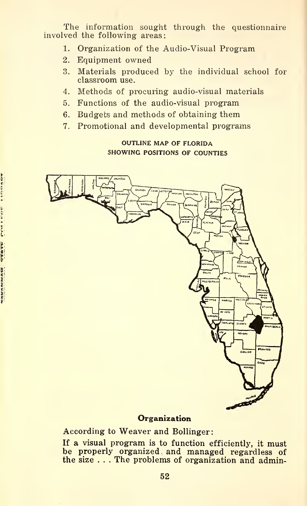The information sought through the questionnaire involved the following areas:

- 1. Organization of the Audio-Visual Program
- 2. Equipment owned
- 3. Materials produced by the individual school for classroom use.
- 4. Methods of procuring audio-visual materials
- 5. Functions of the audio-visual program
- 6. Budgets and methods of obtaining them
- 7. Promotional and developmental programs

#### OUTLINE MAP OF FLORIDA SHOWING POSITIONS OF COUNTIES



#### **Organization**

According to Weaver and Bollinger

If a visual program is to function efficiently, it must be properly organized and managed regardless of the size . . . The problems of organization and admin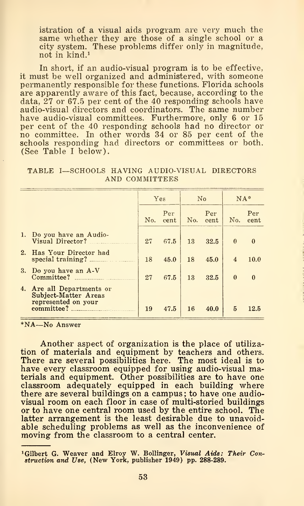istration of a visual aids program are very much the same whether they are those of a single school or a city system. These problems differ only in magnitude, not in kind.<sup>1</sup>

In short, if an audio-visual program is to be effective, it must be well organized and administered, with someone permanently responsible for these functions. Florida schools are apparently aware of this fact, because, according to the data,  $27$  or 67.5 per cent of the 40 responding schools have audio-visual directors and coordinators. The same number have audio-visual committees. Furthermore, only 6 or 15 per cent of the <sup>40</sup> responding schools had no director or no committee. In other words <sup>34</sup> or <sup>85</sup> per cent of the schools responding had directors or committees or both. (See Table <sup>I</sup> below).

TABLE I—SCHOOLS HAVING AUDIO-VISUAL DIRECTORS AND COMMITTEES

|                                                                                                                                                                                                                 | Yes |             | No  |             | $NA*$                  |              |
|-----------------------------------------------------------------------------------------------------------------------------------------------------------------------------------------------------------------|-----|-------------|-----|-------------|------------------------|--------------|
|                                                                                                                                                                                                                 | No. | Per<br>cent | No. | Per<br>cent | No.                    | Per<br>cent  |
| 1. Do you have an Audio-<br>Visual Director?                                                                                                                                                                    | 27  | 67.5        | 13  | 32.5        | $\theta$               | $\mathbf{0}$ |
| 2. Has Your Director had<br>special training?                                                                                                                                                                   | 18  | 45.0        | 18  | 45.0        | $\boldsymbol{\Lambda}$ | 10.0         |
| 3. Do you have an A-V<br>Committee?<br>the control of the control of the                                                                                                                                        | 27  | 67.5        | 13  | 32.5        | $\theta$               | $\mathbf{0}$ |
| 4. Are all Departments or<br>Subject-Matter Areas<br>represented on your<br>committee?<br><b>Contract Contract Contract Contract Contract Contract Contract Contract Contract Contract Contract Contract Co</b> | 19  | 47.5        | 16  | 40.0        | 5                      | 12.5         |

\*NA—No Answer

Another aspect of organization is the place of utilization of materials and equipment by teachers and others. There are several possibilities here. The most ideal is to have every classroom equipped for using audio-visual materials and equipment. Other possibilities are to have one classroom adequately equipped in each building where there are several buildings on a campus; to have one audiovisual room on each floor in case of multi-storied buildings or to have one central room used by the entire school. The latter arrangement is the least desirable due to unavoidable scheduling problems as well as the inconvenience of moving from the classroom to a central center.

<sup>^</sup>Gilbert G. Weaver and Elroy W. Bollinger, Visual Aids: Their Con-struction and Use, (New York, publisher 1949) pp. 288-289.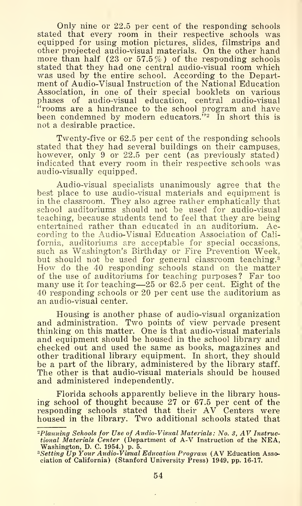Only nine or 22.5 per cent of the responding schools stated that every room in their respective schools was equipped for using motion pictures, slides, filmstrips and other projected audio-visual materials. On the other hand more than half  $(23 \text{ or } 57.5\%)$  of the responding schools stated that they had one central audio-visual room which was used by the entire school. According to the Department of Audio-Visual Instruction of the National Education Association, in one of their special booklets on various phases of audio-visual education, central audio-visual ''rooms are a hmdrance to the school program and have been condemned by modern educators.<sup> $\dot{v}_2$ </sup> In short this is not a desirable practice.

Twenty-five or 62.5 per cent of the responding schools stated that they had several buildings on their campuses, however, only 9 or 22.5 per cent (as previously stated) indicated that every room in their respective schools was audio-visually equipped.

Audio-visual specialists unanimously agree that the best place to use audio-visual materials and equipment is in the classroom. They also agree rather emphatically that school auditoriums should not be used for audio-visual teaching, because students tend to feel that they are being entertained rather than educated in an auditorium. cording to the Audio-Visual Education Association of California, auditoriums are acceptable for special occasions, such as Washington's Birthday or Fire Prevention Week, but should not be used for general classroom teaching.<sup>3</sup> How do the 40 responding schools stand on the matter of the use of auditoriums for teaching purposes? Far too many use it for teaching—<sup>25</sup> or 62.5 per cent. Eight of the 40 responding schools or 20 per cent use the auditorium as an audio-visual center.

Housing is another phase of audio-visual organization and administration. Two points of view pervade present thinking on this matter. One is that audio-visual materials and equipment should be housed in the school library and checked out and used the same as books, magazines and other traditional library equipment. In short, they should be a part of the library, administered by the library staff. The other is that audio-visual materials should be housed and administered independently.

Florida schools apparently believe in the library housing school of thought because 27 or 67.5 per cent of the responding schools stated that their AV Centers were housed in the library. Two additional schools stated that

<sup>-</sup>Planning Schools for Use of Audio-Visual Materials: No. 3, AV Instructional Materials Center (Department of A-V Instruction of the NEA,

Washington, D. C. 1954.) p. 5.<br><sup>3</sup>Setting Up Your Audio-Visual Education Program (AV Education Association of California) (Stanford University Press) 1949, pp, 16-17.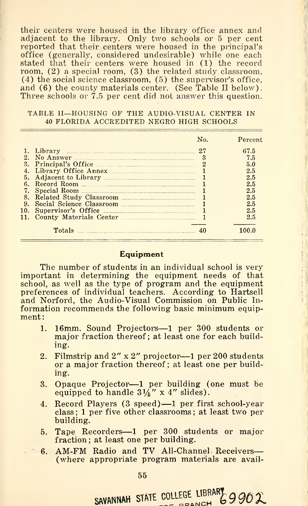their centers were housed in the library office annex and adjacent to the library. Only two schools or 5 per cent reported that their centers were housed in the principal's office (generally, considered undesirable) while one each stated that their centers were housed in (1) the record room, (2) a special room, (3) the related study classroom, (4) the social science classroom, (5) the supervisor's office, and (6) the county materials center. (See Table II below). Three schools or  $7.5$  per cent did not answer this question.

#### TABLE II—HOUSING OF THE AUDIO-VISUAL CENTER IN <sup>40</sup> FLORIDA ACCREDITED NEGRO HIGH SCHOOLS

|    |                             | $N_{\Omega}$ | Percent |
|----|-----------------------------|--------------|---------|
|    | Library                     | 27           | 67.5    |
| 2. | No Answer                   |              | 7.5     |
| 3. | Principal's Office          |              | 5.0     |
|    |                             |              | $2.5\,$ |
| 5. |                             |              | 2.5     |
| 6. | Record Room                 |              | $2.5\,$ |
|    |                             |              | $2.5\,$ |
| 8. |                             |              | 2.5     |
| 9. | Social Science Classroom    |              | 2.5     |
|    |                             |              | 2.5     |
|    | 11. County Materials Center |              | 2.5     |
|    | Totals                      |              | 100 በ   |

#### **Equipment**

 $\begin{array}{c} \frac{1}{2} \\ \frac{1}{2} \end{array}$ 

The number of students in an individual school is very important in determining the equipment needs of that school, as well as the type of program and the equipment preferences of individual teachers. According to Hartsell and Norford, the Audio-Visual Commission on Public Information recommends the following basic minimum equipment:

- 1. 16mm. Sound Projectors—<sup>1</sup> per <sup>300</sup> students or major fraction thereof; at least one for each building.
- 2. Filmstrip and 2" <sup>x</sup> 2" projector—<sup>1</sup> per <sup>200</sup> students or a major fraction thereof; at least one per building.
- 3. Opaque Projector—<sup>1</sup> per building (one must be equipped to handle  $3\frac{1}{4}$ " x 4" slides).
- 4. Record Players (3 speed) —<sup>1</sup> per first school-year class ; <sup>1</sup> per five other classrooms ; at least two per building.
- 5. Tape Recorders—<sup>1</sup> per <sup>300</sup> students or major fraction: at least one per building.
- 6. AM-FM Radio and TV All-Channel Receivers— (where appropriate program materials are avail-

SAVANNAH STATE COLLEGE LIBRARY 9 90 $\chi$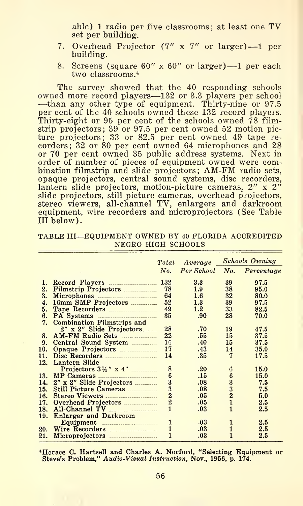able) <sup>1</sup> radio per five classrooms; at least one TV set per building.

- 7. Overhead Projector (7" <sup>x</sup> 7" or larger) —<sup>1</sup> per building.
- 8. Screens (square  $60'' \times 60''$  or larger) 1 per each two classrooms.<sup>4</sup>

The survey showed that the 40 responding schools<br>owned more record players—132 or 3.3 players per school owned more record players—132 or 3.3 players per school<br>—than any other type of equipment. Thirty-nine or 97.5<br>per cent of the 40 schools owned these 132 record players. Thirty-eight or 95 per cent of the schools owned 78 filmstrip projectors; 39 or 97.5 per cent owned 52 motion picture projectors; 33 or 82.5 per cent owned 49 tape re corders; 32 or 80 per cent owned 64 microphones and 28 or 70 per cent owned 35 public address systems. Next in order of number of pieces of equipment owned were com-<br>bination filmstrip and slide projectors; AM-FM radio sets, opaque projectors, central sound systems, disc recorders, lantern slide projectors, motion-picture cameras, 2" x 2" slide projectors, still picture cameras, overhead projectors, stereo viewers, all-channel TV, enlargers and darkroom equipment, wire recorders and microprojectors (See Table III below).

TABLE III—EQUIPMENT OWNED BY <sup>40</sup> FLORIDA ACCREDITED NEGRO HIGH SCHOOLS

| Total                                                                       |                                                                                                                                                                                                                                                                                                                                                                                                        |                                                                                  | <b>Schools Owning</b>                                                        |
|-----------------------------------------------------------------------------|--------------------------------------------------------------------------------------------------------------------------------------------------------------------------------------------------------------------------------------------------------------------------------------------------------------------------------------------------------------------------------------------------------|----------------------------------------------------------------------------------|------------------------------------------------------------------------------|
| No.                                                                         |                                                                                                                                                                                                                                                                                                                                                                                                        |                                                                                  | Percentage                                                                   |
|                                                                             | $3.3\,$                                                                                                                                                                                                                                                                                                                                                                                                | 39                                                                               | 97.5                                                                         |
| 78                                                                          | 1.9                                                                                                                                                                                                                                                                                                                                                                                                    | 38                                                                               | 95.0                                                                         |
| 64                                                                          | 1.6                                                                                                                                                                                                                                                                                                                                                                                                    | 32                                                                               | 80.0                                                                         |
| 52                                                                          | 1.3                                                                                                                                                                                                                                                                                                                                                                                                    | 39                                                                               | 97.5                                                                         |
| 49                                                                          | $1.2\,$                                                                                                                                                                                                                                                                                                                                                                                                | 33                                                                               | 82.5                                                                         |
| 35                                                                          | .90                                                                                                                                                                                                                                                                                                                                                                                                    | 28                                                                               | 70.0                                                                         |
|                                                                             |                                                                                                                                                                                                                                                                                                                                                                                                        |                                                                                  |                                                                              |
| 28                                                                          | .70                                                                                                                                                                                                                                                                                                                                                                                                    | 19                                                                               | 47.5                                                                         |
| 22                                                                          | .55                                                                                                                                                                                                                                                                                                                                                                                                    | 15                                                                               | 37.5                                                                         |
| 16                                                                          | .40                                                                                                                                                                                                                                                                                                                                                                                                    | 15                                                                               | 37.5                                                                         |
| 17                                                                          |                                                                                                                                                                                                                                                                                                                                                                                                        | 14                                                                               | 35.0                                                                         |
| 14                                                                          |                                                                                                                                                                                                                                                                                                                                                                                                        | $\overline{7}$                                                                   | 17.5                                                                         |
|                                                                             |                                                                                                                                                                                                                                                                                                                                                                                                        |                                                                                  |                                                                              |
|                                                                             |                                                                                                                                                                                                                                                                                                                                                                                                        |                                                                                  | 15.0                                                                         |
|                                                                             |                                                                                                                                                                                                                                                                                                                                                                                                        |                                                                                  | 15.0                                                                         |
|                                                                             |                                                                                                                                                                                                                                                                                                                                                                                                        |                                                                                  | 7.5                                                                          |
|                                                                             |                                                                                                                                                                                                                                                                                                                                                                                                        |                                                                                  | 7.5                                                                          |
|                                                                             |                                                                                                                                                                                                                                                                                                                                                                                                        |                                                                                  | 5.0                                                                          |
|                                                                             |                                                                                                                                                                                                                                                                                                                                                                                                        |                                                                                  | 2.5                                                                          |
|                                                                             |                                                                                                                                                                                                                                                                                                                                                                                                        |                                                                                  | 2.5                                                                          |
|                                                                             |                                                                                                                                                                                                                                                                                                                                                                                                        |                                                                                  |                                                                              |
|                                                                             |                                                                                                                                                                                                                                                                                                                                                                                                        |                                                                                  | 2.5                                                                          |
|                                                                             |                                                                                                                                                                                                                                                                                                                                                                                                        |                                                                                  | 2.5                                                                          |
| 1                                                                           |                                                                                                                                                                                                                                                                                                                                                                                                        |                                                                                  | 2.5                                                                          |
| Combination Filmstrips and<br>Lantern Slide<br><b>Enlarger and Darkroom</b> | 16mm SMP Projectors<br>PA Systems <u>______________________</u><br>2" x 2" Slide Projectors<br>AM-FM Radio Sets<br>Central Sound System<br>Opaque Projectors<br>Projectors $3\frac{1}{4}$ " x $4$ "<br>8<br>$\boldsymbol{6}$<br>MP Cameras<br>$\overline{3}$<br>2" x 2" Slide Projectors<br>$\frac{3}{2}$<br>Still Picture Cameras<br>Overhead Projectors<br>1<br>Equipment $\ldots$<br>Wire Recorders | .43<br>.35<br>.20<br>.15<br>.08<br>.08<br>.05<br>.05<br>.03<br>.03<br>.03<br>.03 | $Average \_$<br>Per School<br>No.<br>6<br>6<br>$\frac{3}{2}$<br>$\mathbf{1}$ |

\*Horace C. Hartsell and Charles A. Norford, "Selecting Equipment or<br>Steve's Problem," Audio-Visual Instruction, Nov., 1956, p. 174.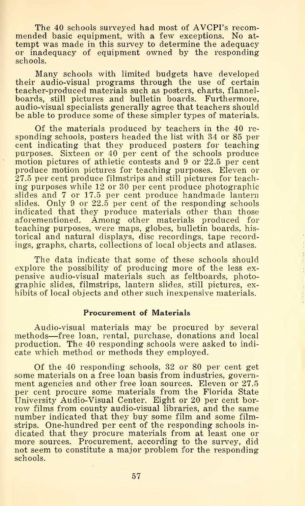The <sup>40</sup> schools surveyed had most of AVCPI's recom- mended basic equipment, with <sup>a</sup> few exceptions. No at tempt was made in this survey to determine the adequacy or inadequacy of equipment owned by the responding schools.

Many schools with limited budgets have developed their audio-visual programs through the use of certain teacher-produced materials such as posters, charts, flannelboards, still pictures and bulletin boards. Furthermore, audio-visual specialists generally agree that teachers should be able to produce some of these simpler types of materials.

Of the materials produced by teachers in the 40 re sponding schools, posters headed the list with 34 or 85 per cent indicating that they produced posters for teaching purposes. Sixteen or 40 per cent of the schools produce motion pictures of athletic contests and 9 or 22.5 per cent cent marcating that they produced posters for teaching<br>purposes. Sixteen or 40 per cent of the schools produce<br>motion pictures of athletic contests and 9 or 22.5 per cent<br>produce motion pictures for teaching purposes. Elev produce motion pictures for teaching purposes. Eleven or 27.5 per cent produce filmstrips and still pictures for teaching purposes while 12 or 30 per cent produce photographic slides and 7 or 17.5 per cent produce handmade lantern slides. Only 9 or 22.5 per cent of the responding schools indicated that they produce materials other than those aforementioned. Among other materials produced for teaching purposes, were maps, globes, bulletin boards, historical and natural displays, disc recordings, tape recordings, graphs, charts, collections of local objects and atlases.

The data indicate that some of these schools should explore the possibility of producing more of the less ex pensive audio-visual materials such as feltboards, photographic slides, filmstrips, lantern slides, still pictures, exhibits of local objects and other such inexpensive materials.

#### Procurement of Materials

Audio-visual materials may be procured by several methods—free loan, rental, purchase, donations and local production. The 40 responding schools were asked to indicate which method or methods they employed.

Of the 40 responding schools, 32 or 80 per cent get some materials on a free loan basis from industries, government agencies and other free loan sources. Eleven or 27.5 per cent procure some materials from the Florida State University Audio-Visual Center. Eight or 20 per cent borrow films from county audio-visual libraries, and the same number indicated that they buy some film and some filmstrips. One-hundred per cent of the responding schools indicated that they procure materials from at least one or more sources. Procurement, according to the survey, did not seem to constitute a major problem for the responding schools.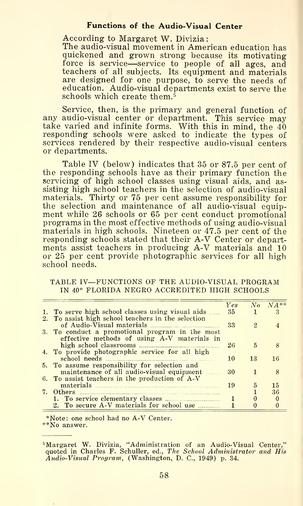#### Functions of the Audio-Visual Center

According to Margaret W. Divizia The audio-visual movement in American education has quickened and grown strong because its motivating quickened and grown strong because its motivating<br>force is service—service to people of all ages, and teachers of all subjects. Its equipment and materials are designed for one purpose, to serve the needs of education. Audio-visual departments exist to serve the schools which create them.<sup> $5$ </sup>

Service, then, is the primary and general function of any audio-visual center or department. This service may take varied and infinite forms. With this in mind, the 40 responding schools were asked to indicate the types of services rendered by their respective audio-visual centers or departments.

Table IV (below) indicates that 35 or 87.5 per cent of the responding schools have as their primary function the servicing of high school classes using visual aids, and assisting high school teachers in the selection of audio-visual materials. Thirty or 75 per cent assume responsibility for the selection and maintenance of all audio-visual equipment while 26 schools or 65 per cent conduct promotional programs in the most effective methods of using audio-visual materials in high schools. Nineteen or 47.5 per cent of the responding schools stated that their A-V Center or departments assist teachers in producing A-V materials and 10 or 25 per cent provide photographic services for all high responding school<br>ments assist teacl<br>or 25 per cent pi<br>school needs.

#### TABLE IV—FUNCTIONS OF THE AUDIO-VISUAL PROGRAM IN 40\* FLORIDA NEGRO ACCREDITED HIGH SCHOOLS

|                                                                                                | Yes |                             | $No$ $NA**$ |
|------------------------------------------------------------------------------------------------|-----|-----------------------------|-------------|
| 1. To serve high school classes using visual aids                                              | 35  |                             | - 3         |
| 2. To assist high school teachers in the selection                                             |     |                             |             |
|                                                                                                | 33  | $\mathcal{D}_{\mathcal{L}}$ |             |
| 3. To conduct a promotional program in the most<br>effective methods of using A-V materials in |     |                             |             |
|                                                                                                | 26  | 5                           | 8           |
| 4. To provide photographic service for all high                                                |     |                             |             |
|                                                                                                | 10  | 13                          | 16          |
| 5. To assume responsibility for selection and                                                  |     |                             |             |
| maintenance of all audio-visual equipment                                                      | 30  |                             | 8           |
| 6. To assist teachers in the production of A-V                                                 |     |                             |             |
|                                                                                                | 19  | 5                           | 15          |
|                                                                                                |     |                             | 36          |
|                                                                                                |     |                             | $\theta$    |
| 2. To secure A-V materials for school use                                                      |     | $\Omega$                    | $\Omega$    |

\*Note: one school had no A-V Center. \*\*No answer.

<sup>&#</sup>x27;Margaret W. Divizia, "Administration of an Audio-Visual Center," quoted in Charles F. Schuller, ed., The Scliool Administrator and His Audio-Visual Program, (Washington, D. C, 1949) p. 34.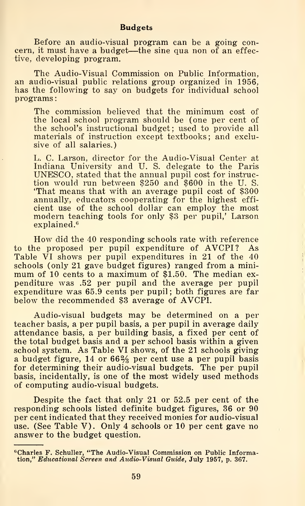Before an audio-visual program can be a going concern, it must have <sup>a</sup> budget—the sine qua non of an effective, developing program.

The Audio-Visual Commission on Public Information, an audio-visual public relations group organized in 1956, has the following to say on budgets for individual school programs

The commission believed that the minimum cost of the local school program should be (one per cent of the school's instructional budget; used to provide all materials of instruction except textbooks; and exclusive of all salaries.)

L. C. Larson, director for the Audio-Visual Center at Indiana University and U. S. delegate to the Paris UNESCO, stated that the annual pupil cost for instruction would run between \$250 and \$600 in the U. S. 'That means that with an average pupil cost of \$300 annually, educators cooperating for the highest effi cient use of the school dollar can employ the most modern teaching tools for only \$3 per pupil,' Larson explained.<sup>6</sup>

How did the 40 responding schools rate with reference to the proposed per pupil expenditure of AVCPI? As Table VI shows per pupil expenditures in 21 of the 40 schools (only 21 gave budget figures) ranged from a minimum of 10 cents to a maximum of \$1.50. The median expenditure was .52 per pupil and the average per pupil expenditure was 52 per pupil and the average per pupil<br>expenditure was 52 per pupil and the average per pupil<br>expenditure was 65.9 cents per pupil; both figures are far<br>below the recommended \$3 average of AVCPI. below the recommended \$3 average of AVCPI.

Audio-visual budgets may be determined on a per teacher basis, a per pupil basis, a per pupil in average daily attendance basis, a per building basis, a fixed per cent of the total budget basis and a per school basis within a given school system. As Table VI shows, of the 21 schools giving a budget figure,  $14$  or  $66\frac{2}{3}$  per cent use a per pupil basis for determining their audio-visual budgets. The per pupil basis, incidentally, is one of the most widely used methods of computing audio-visual budgets.

Despite the fact that only 21 or 52.5 per cent of the responding schools listed definite budget figures, 36 or 90 Despite the fact that only 21 or 52.5 per cent of the<br>responding schools listed definite budget figures, 36 or 90<br>per cent indicated that they received monies for audio-visual<br>use. (See Table V). Only 4 schools or 10 per c use. (See Table V). Only 4 schools or 10 per cent gave no answer to the budget question.

 $^6$ Charles F. Schuller, "The Audio-Visual Commission on Public Information," Educational Screen and Audio-Visual Guide, July 1957, p. 367.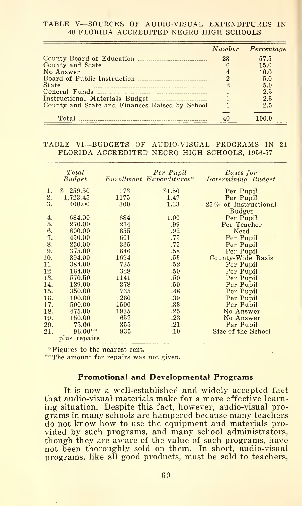#### TABLE V—SOURCES OF AUDIO-VISUAL EXPENDITURES IN <sup>40</sup> FLORIDA ACCREDITED NEGRO HIGH SCHOOLS

|                                                |    | Number Percentage |
|------------------------------------------------|----|-------------------|
|                                                | 23 | 57.5              |
|                                                |    | 15.0              |
|                                                |    | 10.0              |
|                                                |    | 5.0               |
|                                                |    | 5.0               |
|                                                |    | 2.5               |
| Instructional Materials Budget                 |    | 2.5               |
| County and State and Finances Raised by School |    | 2.5               |
| Total                                          |    | 100 O             |

## TABLE VI—BUDGETS OF AUDIO-VISUAL PROGRAMS IN <sup>21</sup> FLORIDA ACCREDITED NEGRO HIGH SCHOOLS, 1956-57

|     | Total        |      | Per Pupil                | Bases for                  |
|-----|--------------|------|--------------------------|----------------------------|
|     | Budget       |      | Enrollment Expenditures* | Determining Budget         |
| 1.  | S.<br>259.50 | 173  | \$1.50                   | Per Pupil                  |
| 2.  | 1,723.45     | 1175 | 1.47                     | Per Pupil                  |
| 3.  | 400.00       | 300  | 1.33                     | of Instructional<br>$25\%$ |
|     |              |      |                          | <b>Budget</b>              |
| 4.  | 684.00       | 684  | 1.00                     | Per Pupil                  |
| 5.  | 270.00       | 274  | .99                      | Per Teacher                |
| 6.  | 600.00       | 655  | .92                      | Need                       |
| 7.  | 450.00       | 601  | .75                      | Per Pupil                  |
| 8.  | 250.00       | 335  | .75                      | Per Pupil                  |
| 9.  | 375.00       | 646  | .58                      | Per Pupil                  |
| 10. | 894.00       | 1694 | .53                      | County-Wide Basis          |
| 11. | 384.00       | 735  | .52                      | Per Pupil                  |
| 12. | 164.00       | 328  | .50                      | Per Pupil                  |
| 13. | 570.50       | 1141 | .50                      | Per Pupil                  |
| 14. | 189.00       | 378  | .50                      | Per Pupil                  |
| 15. | 350.00       | 735  | .48                      | Per Pupil                  |
| 16. | 100.00       | 260  | .39                      | Per Pupil                  |
| 17. | 500.00       | 1500 | .33                      | Per Pupil                  |
| 18. | 475.00       | 1935 | .25                      | No Answer                  |
| 19. | 150.00       | 657  | .23                      | No Answer                  |
| 20. | 75.00        | 355  | .21                      | Per Pupil                  |
| 21. | $96.00**$    | 935  | .10                      | Size of the School         |
|     | plus repairs |      |                          |                            |

\*Figures to the nearest cent.

\*\*The amount for repairs was not given.

#### Promotional and Developmental Programs

It is now a well-established and widely accepted fact that audio-visual materials make for a more effective learning situation. Despite this fact, however, audio-visual programs in many schools are hampered because many teachers do not know how to use the equipment and materials provided by such programs, and many school administrators, though they are aware of the value of such programs, have not been thoroughly sold on them. In short, audio-visual programs, like all good products, must be sold to teachers.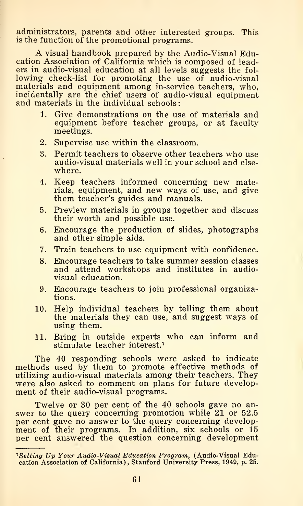administrators, parents and other interested groups. This is the function of the promotional programs.

A visual handbook prepared by the Audio-Visual Education Association of California which is composed of leaders in audio-visual education at all levels suggests the fol lowing check-list for promoting the use of audio-visual materials and equipment among in-service teachers, who, incidentally are the chief users of audio-visual equipment and materials in the individual schools:

- 1. Give demonstrations on the use of materials and equipment before teacher groups, or at faculty meetings.
- 2. Supervise use within the classroom.
- 3. Permit teachers to observe other teachers who use audio-visual materials well in your school and elsewhere.
- 4. Keep teachers informed concerning new materials, equipment, and new ways of use, and give them teacher's guides and manuals.
- 5. Preview materials in groups together and discuss their worth and possible use.
- 6. Encourage the production of slides, photographs and other simple aids.
- 7. Train teachers to use equipment with confidence.
- 8. Encourage teachers to take summer session classes and attend workshops and institutes in audiovisual education.
- 9. Encourage teachers to join professional organizations.
- 10. Help individual teachers by telling them about the materials they can use, and suggest ways of using them.
- 11. Bring in outside experts who can inform and stimulate teacher interest.'^

The 40 responding schools were asked to indicate methods used by them to promote effective methods of utilizing audio-visual materials among their teachers. They were also asked to comment on plans for future development of their audio-visual programs.

Twelve or 30 per cent of the 40 schools gave no an swer to the query concerning promotion while 21 or 52.5 per cent gave no answer to the query concerning development of their programs. In addition, six schools or 15 per cent answered the question concerning development

<sup>&</sup>lt;sup>7</sup>Setting Up Your Audio-Visual Education Program, (Audio-Visual Education Association of California), Stanford University Press, 1949, p. 25.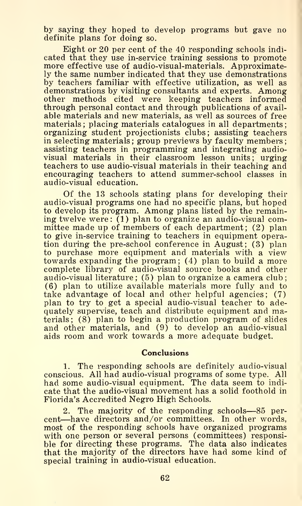by saying they hoped to develop programs but gave no definite plans for doing so.

Eight or 20 per cent of the 40 responding schools indicated that they use in-service training sessions to promote more effective use of audio-visual-materials. Approximately the same number indicated that they use demonstrations by teachers familiar with effective utilization, as well as demonstrations by visiting consultants and experts. Among other methods cited were keeping teachers informed through personal contact and through publications of available materials and new materials, as well as sources of free materials; placing materials catalogues in all departments; organizing student projectionists clubs; assisting teachers in selecting materials; group previews by faculty members; assisting teachers in programming and integrating audiovisual materials in their classroom lesson units; urging teachers to use audio-visual materials in their teaching and encouraging teachers to attend summer-school classes in audio-visual education.

Of the 13 schools stating plans for developing their audio-visual programs one had no specific plans, but hoped to develop its program. Among plans listed by the remaining twelve were: (1) plan to organize an audio-visual committee made up of members of each department; (2) plan to give in-service training to teachers in equipment operation during the pre-school conference in August; (3) plan to purchase more equipment and materials with a view towards expanding the program; (4) plan to build a more complete library of audio-visual source books and other audio-visual literature ; (5) plan to organize a camera club ; (6) plan to utilize available materials more fully and to take advantage of local and other helpful agencies; (7) plan to try to get a special audio-visual teacher to ade-<br>quately supervise, teach and distribute equipment and ma-(6) plan to utilize available materials more fully and to take advantage of local and other helpful agencies; (7) plan to try to get a special audio-visual teacher to adequately supervise, teach and distribute equipment a terials; (8) plan to begin a production program of slides and other materials, and (9) to develop an audio-visual aids room and work towards a more adequate budget.

#### Conclusions

1. The responding schools are definitely audio-visual conscious. All had audio-visual programs of some type. All had some audio-visual equipment. The data seem to indicate that the audio-visual movement has a solid foothold in Florida's Accredited Negro High Schools.

2. The majority of the responding schools—<sup>85</sup> percent—have directors and/or committees. In other words, most of the responding schools have organized programs with one person or several persons (committees) responsible for directing these programs. The data also indicates that the majority of the directors have had some kind of special training in audio-visual education.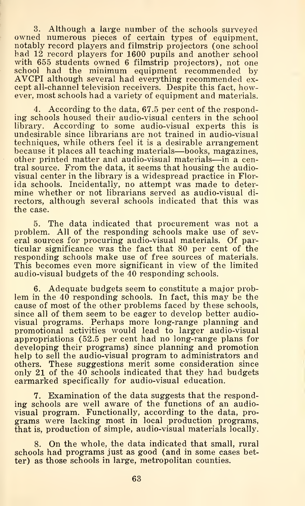3. Although a large number of the schools surveyed owned numerous pieces of certain types of equipment, notably record players and filmstrip projectors (one school had 12 record players for 1600 pupils and another school with 655 students owned 6 filmstrip projectors), not one school had the minimum equipment recommended by AVCPI although several had everything recommended ex cept all-channel television receivers. Despite this fact, how-<br>ever, most schools had a variety of equipment and materials. school had the minimum equipment recommended by<br>AVCPI although several had everything recommended ex-<br>cept all-channel television receivers. Despite this fact, how-<br>ever, most schools had a variety of equipment and materia

4. According to the data, 67.5 per cent of the responding schools housed their audio-visual centers in the school library. According to some audio-visual experts this is undesirable since librarians are not trained in audio-visual techniques, while others feel it is a desirable arrangement because it places all teaching materials—books, magazines, other printed matter and audio-visual materials—in <sup>a</sup> central source. From the data, it seems that housing the audiovisual center in the library is a widespread practice in Florida schools. Incidentally, no attempt was made to determine whether or not librarians served as audio-visual di rectors, although several schools indicated that this was the case.

5. The data indicated that procurement was not <sup>a</sup> problem. All of the responding schools make use of several sources for procuring audio-visual materials. Of particular significance was the fact that 80 per cent of the responding schools make use of free sources of materials. This becomes even more significant in view of the limited audio-visual budgets of the 40 responding schools.

6. Adequate budgets seem to constitute a major problem in the 40 responding schools. In fact, this may be the cause of most of the other problems faced by these schools, since all of them seem to be eager to develop better audiovisual programs. Perhaps more long-range planning and promotional activities would lead to larger audio-visual appropriations (52.5 per cent had no long-range plans for developing their programs) since planning and promotion help to sell the audio-visual program to administrators and others. These suggestions merit some consideration since only 21 of the 40 schools indicated that they had budgets earmarked specifically for audio-visual education.

only 21 of the 40 schools indicated that they had budgets<br>earmarked specifically for audio-visual education.<br>7. Examination of the data suggests that the respond-<br>ing schools are well aware of the functions of an audiovisual program. Functionally, according to the data, programs were lacking most in local production programs, that is, production of simple, audio-visual materials locally.

8. On the whole, the data indicated that small, rural schools had programs just as good (and in some cases better) as those schools in large, metropolitan counties.